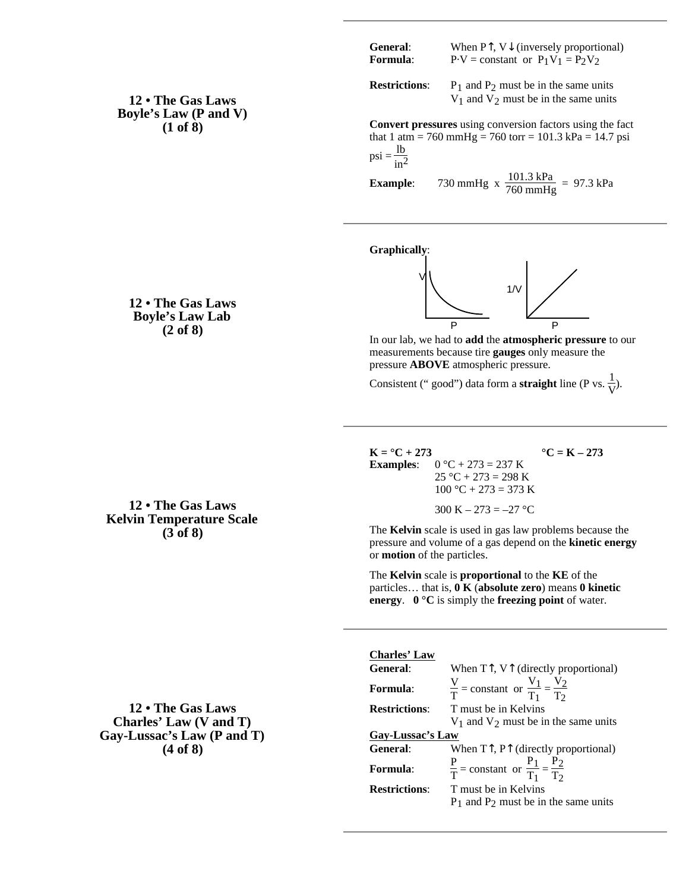| <b>General:</b> | When $P$ , $V$ (inversely proportional) |
|-----------------|-----------------------------------------|
| Formula:        | $P-V = constant$ or $P_1V_1 = P_2V_2$   |

**Restrictions:**  $P_1$  and  $P_2$  must be in the same units  $V_1$  and  $V_2$  must be in the same units

**Convert pressures** using conversion factors using the fact that 1 atm = 760 mmHg = 760 torr = 101.3 kPa = 14.7 psi  $psi = \frac{1b}{in^2}$ 

**Example**: 730 mmHg x  $\frac{101.3 \text{ kPa}}{760 \text{ mmHg}} = 97.3 \text{ kPa}$ 

**Graphically**:



In our lab, we had to **add** the **atmospheric pressure** to our measurements because tire **gauges** only measure the pressure **ABOVE** atmospheric pressure.

Consistent (" good") data form a **straight** line (P vs.  $\frac{1}{V}$ ).

 $K = {}^{\circ}C + 273$  **°C** = K – 273 **Examples:**  $0 °C + 273 = 237 K$  $25 °C + 273 = 298 K$  $100 °C + 273 = 373 K$ 300 K – 273 = –27 °C

The **Kelvin** scale is used in gas law problems because the pressure and volume of a gas depend on the **kinetic energy** or **motion** of the particles.

The **Kelvin** scale is **proportional** to the **KE** of the particles… that is, **0 K** (**absolute zero**) means **0 kinetic energy**. **0 °C** is simply the **freezing point** of water.

**12 • The Gas Laws Charles' Law (V and T) Gay-Lussac's Law (P and T) (4 of 8)**

**12 • The Gas Laws Kelvin Temperature Scale (3 of 8)**

**Charles' Law**

| <b>General:</b>      | When T, V (directly proportional)                               |  |  |
|----------------------|-----------------------------------------------------------------|--|--|
| <b>Formula:</b>      | $\frac{V}{T}$ = constant or $\frac{V_1}{T_1} = \frac{V_2}{T_2}$ |  |  |
| <b>Restrictions:</b> | T must be in Kelvins                                            |  |  |
|                      | $V_1$ and $V_2$ must be in the same units                       |  |  |
| Gav-Lussac's Law     |                                                                 |  |  |
| <b>General:</b>      | When T, P (directly proportional)                               |  |  |
| <b>Formula:</b>      | $\frac{P}{T}$ = constant or $\frac{P_1}{T_1} = \frac{P_2}{T_2}$ |  |  |
| <b>Restrictions:</b> | T must be in Kelvins                                            |  |  |
|                      | $P_1$ and $P_2$ must be in the same units                       |  |  |

## **12 • The Gas Laws Boyle's Law Lab (2 of 8)**

**12 • The Gas Laws Boyle's Law (P and V) (1 of 8)**